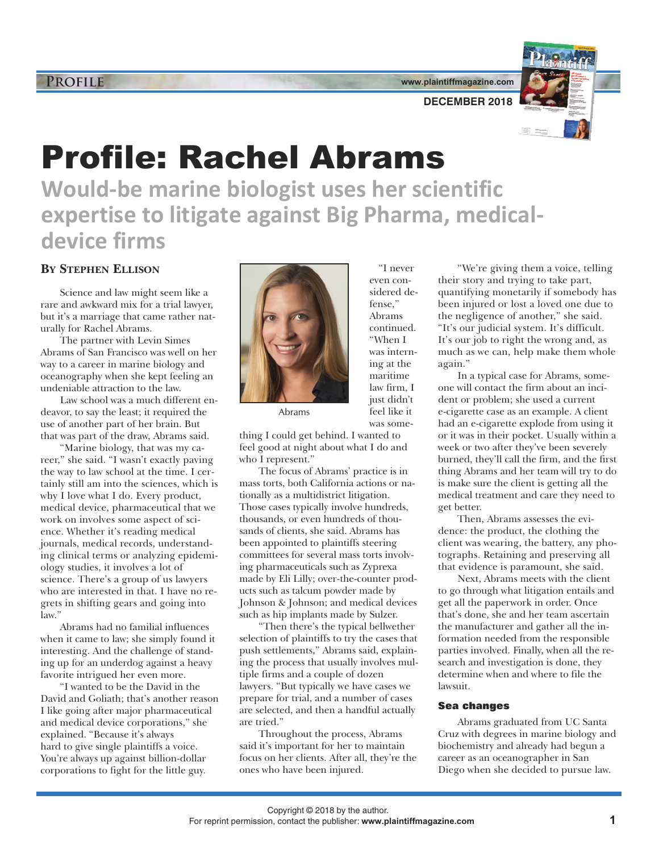**www.plaintiffmagazine.com**

"I never even considered defense," Abrams continued. "When I was interning at the maritime law firm, I just didn't feel like it was some-



**DECEMBER 2018**

# Profile: Rachel Abrams

**Would-be marine biologist uses her scientific expertise to litigate against Big Pharma, medicaldevice firms**

## **BY STEPHEN ELLISON**

Science and law might seem like a rare and awkward mix for a trial lawyer, but it's a marriage that came rather naturally for Rachel Abrams.

The partner with Levin Simes Abrams of San Francisco was well on her way to a career in marine biology and oceanography when she kept feeling an undeniable attraction to the law.

Law school was a much different endeavor, to say the least; it required the use of another part of her brain. But that was part of the draw, Abrams said.

"Marine biology, that was my career," she said. "I wasn't exactly paving the way to law school at the time. I certainly still am into the sciences, which is why I love what I do. Every product, medical device, pharmaceutical that we work on involves some aspect of science. Whether it's reading medical journals, medical records, understanding clinical terms or analyzing epidemiology studies, it involves a lot of science. There's a group of us lawyers who are interested in that. I have no regrets in shifting gears and going into law."

Abrams had no familial influences when it came to law; she simply found it interesting. And the challenge of standing up for an underdog against a heavy favorite intrigued her even more.

"I wanted to be the David in the David and Goliath; that's another reason I like going after major pharmaceutical and medical device corporations," she explained. "Because it's always hard to give single plaintiffs a voice. You're always up against billion-dollar corporations to fight for the little guy.



Abrams

thing I could get behind. I wanted to feel good at night about what I do and who I represent."

The focus of Abrams' practice is in mass torts, both California actions or nationally as a multidistrict litigation. Those cases typically involve hundreds, thousands, or even hundreds of thousands of clients, she said. Abrams has been appointed to plaintiffs steering committees for several mass torts involving pharmaceuticals such as Zyprexa made by Eli Lilly; over-the-counter products such as talcum powder made by Johnson & Johnson; and medical devices such as hip implants made by Sulzer.

"Then there's the typical bellwether selection of plaintiffs to try the cases that push settlements," Abrams said, explaining the process that usually involves multiple firms and a couple of dozen lawyers. "But typically we have cases we prepare for trial, and a number of cases are selected, and then a handful actually are tried."

Throughout the process, Abrams said it's important for her to maintain focus on her clients. After all, they're the ones who have been injured.

"We're giving them a voice, telling their story and trying to take part, quantifying monetarily if somebody has been injured or lost a loved one due to the negligence of another," she said. "It's our judicial system. It's difficult. It's our job to right the wrong and, as much as we can, help make them whole again."

In a typical case for Abrams, someone will contact the firm about an incident or problem; she used a current e-cigarette case as an example. A client had an e-cigarette explode from using it or it was in their pocket. Usually within a week or two after they've been severely burned, they'll call the firm, and the first thing Abrams and her team will try to do is make sure the client is getting all the medical treatment and care they need to get better.

Then, Abrams assesses the evidence: the product, the clothing the client was wearing, the battery, any photographs. Retaining and preserving all that evidence is paramount, she said.

Next, Abrams meets with the client to go through what litigation entails and get all the paperwork in order. Once that's done, she and her team ascertain the manufacturer and gather all the information needed from the responsible parties involved. Finally, when all the research and investigation is done, they determine when and where to file the lawsuit.

#### **Sea changes**

Abrams graduated from UC Santa Cruz with degrees in marine biology and biochemistry and already had begun a career as an oceanographer in San Diego when she decided to pursue law.